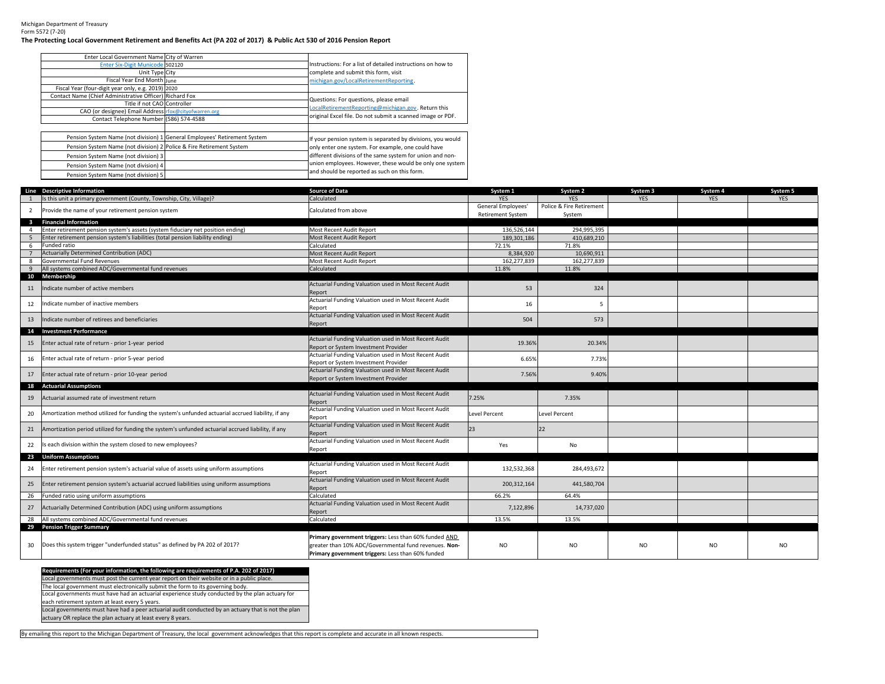Michigan Department of Treasury Form 5572 (7‐20)

## The Protecting Local Government Retirement and Benefits Act (PA 202 of 2017) & Public Act 530 of 2016 Pension Report

| Enter Local Government Name City of Warren                           |                                                                           |                                                             |
|----------------------------------------------------------------------|---------------------------------------------------------------------------|-------------------------------------------------------------|
| Enter Six-Digit Municode 502120                                      |                                                                           | Instructions: For a list of detailed instructions on how to |
| Unit Type City                                                       |                                                                           | complete and submit this form, visit                        |
| Fiscal Year End Month June                                           |                                                                           | michigan.gov/LocalRetirementReporting.                      |
| Fiscal Year (four-digit year only, e.g. 2019) 2020                   |                                                                           |                                                             |
| Contact Name (Chief Administrative Officer) Richard Fox              |                                                                           | Questions: For questions, please email                      |
| Title if not CAO Controller                                          |                                                                           | LocalRetirementReporting@michigan.gov. Return this          |
| CAO (or designee) Email Address rfox@cityofwarren.org                |                                                                           |                                                             |
| Contact Telephone Number (586) 574-4588                              |                                                                           | original Excel file. Do not submit a scanned image or PDF.  |
|                                                                      |                                                                           |                                                             |
|                                                                      | Pension System Name (not division) 1 General Employees' Retirement System | If your pension system is separated by divisions, you would |
| Pension System Name (not division) 2 Police & Fire Retirement System |                                                                           | only enter one system. For example, one could have          |
| Pension System Name (not division) 3                                 |                                                                           | different divisions of the same system for union and non-   |
| Pension System Name (not division) 4                                 |                                                                           | union employees. However, these would be only one system    |
| Pension System Name (not division) 5                                 |                                                                           | and should be reported as such on this form.                |

|                         | Line Descriptive Information                                                                       | <b>Source of Data</b>                                                                         | System 1                 | System 2                 | System 3       | System 4   | System 5   |
|-------------------------|----------------------------------------------------------------------------------------------------|-----------------------------------------------------------------------------------------------|--------------------------|--------------------------|----------------|------------|------------|
|                         | Is this unit a primary government (County, Township, City, Village)?                               | Calculated                                                                                    | <b>YES</b>               | <b>YES</b>               | <b>YES</b>     | <b>YES</b> | <b>YES</b> |
| 2                       | Provide the name of your retirement pension system                                                 | Calculated from above                                                                         | General Employees'       | Police & Fire Retirement |                |            |            |
|                         |                                                                                                    |                                                                                               | <b>Retirement System</b> | System                   |                |            |            |
| $\overline{\mathbf{3}}$ | <b>Financial Information</b>                                                                       |                                                                                               |                          |                          |                |            |            |
| 4                       | Enter retirement pension system's assets (system fiduciary net position ending)                    | Most Recent Audit Report                                                                      | 136,526,144              | 294,995,395              |                |            |            |
| 5                       | Enter retirement pension system's liabilities (total pension liability ending)                     | Most Recent Audit Report                                                                      | 189,301,186              | 410,689,210              |                |            |            |
| 6                       | Funded ratio                                                                                       | Calculated                                                                                    | 72.1%                    | 71.8%                    |                |            |            |
|                         | Actuarially Determined Contribution (ADC)                                                          | Most Recent Audit Report                                                                      | 8,384,920                | 10,690,911               |                |            |            |
| 8                       | Governmental Fund Revenues                                                                         | Most Recent Audit Report                                                                      | 162,277,839              | 162,277,839              |                |            |            |
| $\mathbf{q}$            | All systems combined ADC/Governmental fund revenues                                                | Calculated                                                                                    | 11.8%                    | 11.8%                    |                |            |            |
|                         | 10 Membership                                                                                      |                                                                                               |                          |                          |                |            |            |
| 11                      | Indicate number of active members                                                                  | Actuarial Funding Valuation used in Most Recent Audit                                         | 53                       | 324                      |                |            |            |
|                         |                                                                                                    | Report                                                                                        |                          |                          |                |            |            |
| 12                      | Indicate number of inactive members                                                                | Actuarial Funding Valuation used in Most Recent Audit                                         | 16                       | 5                        |                |            |            |
|                         |                                                                                                    | Report                                                                                        |                          |                          |                |            |            |
| 13                      | ndicate number of retirees and beneficiaries                                                       | Actuarial Funding Valuation used in Most Recent Audit                                         | 504                      | 573                      |                |            |            |
|                         |                                                                                                    | Report                                                                                        |                          |                          |                |            |            |
| 14                      | <b>Investment Performance</b>                                                                      | Actuarial Funding Valuation used in Most Recent Audit                                         |                          |                          |                |            |            |
| 15                      | Enter actual rate of return - prior 1-year period                                                  |                                                                                               | 19.36%                   | 20.34%                   |                |            |            |
|                         |                                                                                                    | Report or System Investment Provider<br>Actuarial Funding Valuation used in Most Recent Audit |                          |                          |                |            |            |
| 16                      | Enter actual rate of return - prior 5-year period                                                  | Report or System Investment Provider                                                          | 6.65%                    | 7.73%                    |                |            |            |
|                         |                                                                                                    | Actuarial Funding Valuation used in Most Recent Audit                                         |                          |                          |                |            |            |
| 17                      | Enter actual rate of return - prior 10-year period                                                 | Report or System Investment Provider                                                          | 7.56%                    | 9.40%                    |                |            |            |
| 18                      | <b>Actuarial Assumptions</b>                                                                       |                                                                                               |                          |                          |                |            |            |
|                         |                                                                                                    | Actuarial Funding Valuation used in Most Recent Audit                                         |                          |                          |                |            |            |
| 19                      | Actuarial assumed rate of investment return                                                        | Report                                                                                        | 7.25%                    | 7.35%                    |                |            |            |
|                         |                                                                                                    | Actuarial Funding Valuation used in Most Recent Audit                                         |                          |                          |                |            |            |
| 20                      | Amortization method utilized for funding the system's unfunded actuarial accrued liability, if any | Report                                                                                        | Level Percent            | Level Percent            |                |            |            |
|                         |                                                                                                    | Actuarial Funding Valuation used in Most Recent Audit                                         |                          |                          |                |            |            |
| 21                      | Amortization period utilized for funding the system's unfunded actuarial accrued liability, if any | Report                                                                                        | 23                       | 22                       |                |            |            |
| 22                      | Is each division within the system closed to new employees?                                        | Actuarial Funding Valuation used in Most Recent Audit                                         | Yes                      | No                       |                |            |            |
|                         |                                                                                                    | Report                                                                                        |                          |                          |                |            |            |
|                         | 23 Uniform Assumptions                                                                             |                                                                                               |                          |                          |                |            |            |
| 24                      | Enter retirement pension system's actuarial value of assets using uniform assumptions              | Actuarial Funding Valuation used in Most Recent Audit                                         | 132,532,368              | 284,493,672              |                |            |            |
|                         |                                                                                                    | Report                                                                                        |                          |                          |                |            |            |
| 25                      | Enter retirement pension system's actuarial accrued liabilities using uniform assumptions          | Actuarial Funding Valuation used in Most Recent Audit                                         | 200, 312, 164            | 441,580,704              |                |            |            |
|                         |                                                                                                    | Report                                                                                        |                          |                          |                |            |            |
| 26                      | Funded ratio using uniform assumptions                                                             | Calculated                                                                                    | 66.2%                    | 64.4%                    |                |            |            |
| 27                      | Actuarially Determined Contribution (ADC) using uniform assumptions                                | Actuarial Funding Valuation used in Most Recent Audit                                         | 7,122,896                | 14,737,020               |                |            |            |
|                         |                                                                                                    | Report<br>Calculated                                                                          | 13.5%                    | 13.5%                    |                |            |            |
| 28                      | All systems combined ADC/Governmental fund revenues<br>29 Pension Trigger Summary                  |                                                                                               |                          |                          |                |            |            |
|                         |                                                                                                    |                                                                                               |                          |                          |                |            |            |
|                         |                                                                                                    | Primary government triggers: Less than 60% funded AND                                         |                          |                          |                |            |            |
| 30                      | Does this system trigger "underfunded status" as defined by PA 202 of 2017?                        | greater than 10% ADC/Governmental fund revenues. Non-                                         | <b>NO</b>                | N <sub>O</sub>           | N <sub>O</sub> | NO.        | NO.        |
|                         |                                                                                                    | Primary government triggers: Less than 60% funded                                             |                          |                          |                |            |            |

Requirements (For your information, the following are requirements of P.A. 202 of 2017)<br>Local governments must post the current year report on their website or in a public place. The local government must electronically submit the form to its governing body.

Local governments must have had an actuarial experience study conducted by the plan actuary for

each retirement system at least every 5 years.

Local governments must have had <sup>a</sup> peer actuarial audit conducted by an actuary that is not the plan

actuary OR replace the plan actuary at least every 8 years.

By emailing this report to the Michigan Department of Treasury, the local government acknowledges that this report is complete and accurate in all known respects.